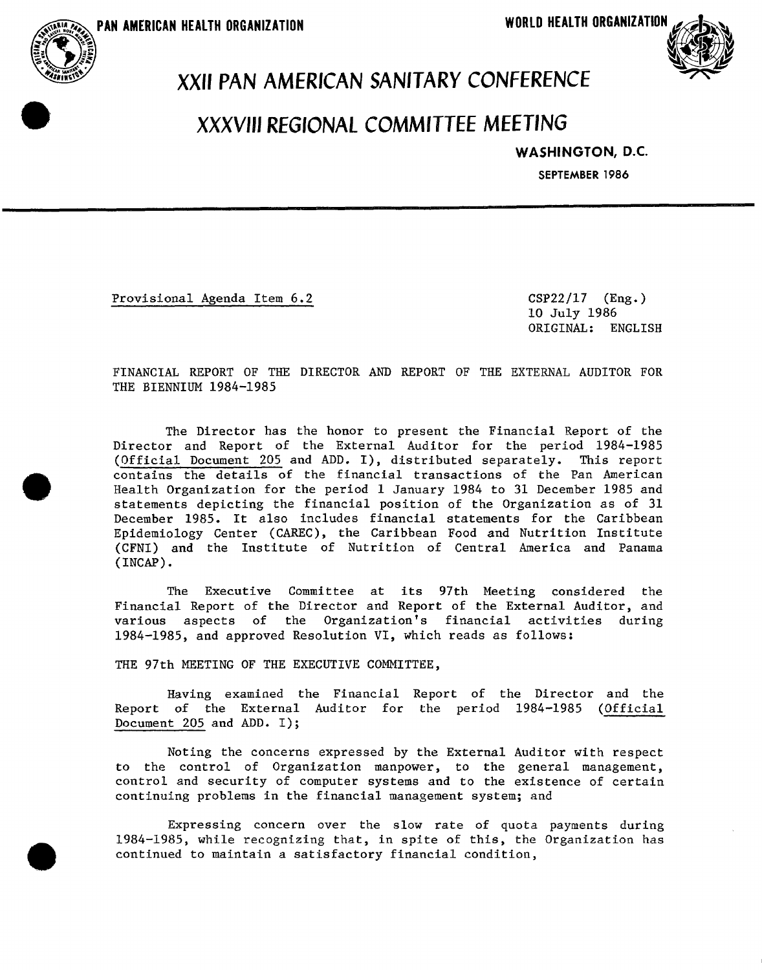PAN AMERICAN HEALTH ORGANIZATION



## **PANAMERICAN**XX**HEALTHORGANIZATION WORLDHEALTHORGANIZATION**\_\_ **II**P**A**N**A**ME**RI**C**A**NSAN**I**T**A**RYCONFERENCE

## XXX**V**II!RE**G**IONA**L**COMMITTEEMEETIN**G**

## WASHINGTON, D.C.

SEPTEMBER 1986

Provisional Agenda Item 6.2 CSP22/17 (Eng.)

I0 July 1986 ORIGINAL: ENGLISH

FINANCIAL REPORT OF THE DIRECTOR AND REPORT OF THE EXTERNAL AUDITOR FOR THE BIENNIUM 1984-1985

The Director has the honor to present the Financial Report of the Director and Report of the External Auditor for the period 1984-1985 (Official Document 205 and ADD. I), distributed separately. This report contains the details of the financial transactions of the Pan American Health Organization for the period 1 January 1984 to 31 December 1985 and statements depicting the financial position of the Organization as of 31 December 1985. It also includes financial statements for the Caribbean Epidemiology Center (CAREC), the Caribbean Food and Nutrition Institute (CFNI) and the Institute of Nutrition of Central America and Panama (INCAP).

The Executive Committee at its 97th Meeting considered the Financial Report of the Director and Report of the External Auditor, and various aspects of the Organization's financial activities during 1984-1985, and approved Resolution VI, which reads as follows:

THE 97th MEETING OF THE EXECUTIVE COMMITTEE,

Having examined the Financial Report of the Director and the Report of the External Auditor for the period 1984-1985 (Official Document 205 and ADD. I);

Noting the concerns expressed by the External Auditor with respect to the control of Organization manpower, to the general management, control and security of computer systems and to the existence of certain continuing problems in the financial management system; and

Expressing concern over the slow rate of quota payments during 1984-1985, while recognizing that, in spite of this, the Organization has continued to maintain a satisfactory financial condition,